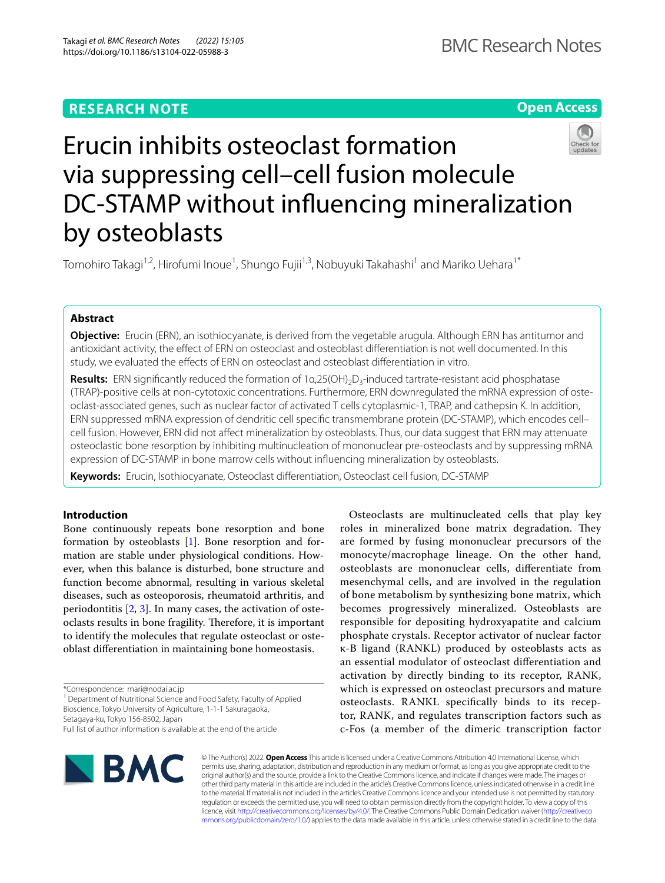# **RESEARCH NOTE**

**Open Access**



# Erucin inhibits osteoclast formation via suppressing cell–cell fusion molecule DC-STAMP without infuencing mineralization by osteoblasts

Tomohiro Takagi<sup>1,2</sup>, Hirofumi Inoue<sup>1</sup>, Shungo Fujii<sup>1,3</sup>, Nobuyuki Takahashi<sup>1</sup> and Mariko Uehara<sup>1\*</sup>

# **Abstract**

**Objective:** Erucin (ERN), an isothiocyanate, is derived from the vegetable arugula. Although ERN has antitumor and antioxidant activity, the efect of ERN on osteoclast and osteoblast diferentiation is not well documented. In this study, we evaluated the efects of ERN on osteoclast and osteoblast diferentiation in vitro.

**Results:** ERN significantly reduced the formation of 1α,25(OH)<sub>2</sub>D<sub>3</sub>-induced tartrate-resistant acid phosphatase (TRAP)-positive cells at non-cytotoxic concentrations. Furthermore, ERN downregulated the mRNA expression of osteoclast-associated genes, such as nuclear factor of activated T cells cytoplasmic-1, TRAP, and cathepsin K. In addition, ERN suppressed mRNA expression of dendritic cell specifc transmembrane protein (DC-STAMP), which encodes cell– cell fusion. However, ERN did not afect mineralization by osteoblasts. Thus, our data suggest that ERN may attenuate osteoclastic bone resorption by inhibiting multinucleation of mononuclear pre-osteoclasts and by suppressing mRNA expression of DC-STAMP in bone marrow cells without infuencing mineralization by osteoblasts.

**Keywords:** Erucin, Isothiocyanate, Osteoclast diferentiation, Osteoclast cell fusion, DC-STAMP

# **Introduction**

Bone continuously repeats bone resorption and bone formation by osteoblasts [[1\]](#page-5-0). Bone resorption and formation are stable under physiological conditions. However, when this balance is disturbed, bone structure and function become abnormal, resulting in various skeletal diseases, such as osteoporosis, rheumatoid arthritis, and periodontitis [\[2](#page-5-1), [3](#page-5-2)]. In many cases, the activation of osteoclasts results in bone fragility. Therefore, it is important to identify the molecules that regulate osteoclast or osteoblast diferentiation in maintaining bone homeostasis.

\*Correspondence: mari@nodai.ac.jp

<sup>1</sup> Department of Nutritional Science and Food Safety, Faculty of Applied Bioscience, Tokyo University of Agriculture, 1-1-1 Sakuragaoka,

Setagaya-ku, Tokyo 156-8502, Japan Full list of author information is available at the end of the article

Osteoclasts are multinucleated cells that play key roles in mineralized bone matrix degradation. They are formed by fusing mononuclear precursors of the monocyte/macrophage lineage. On the other hand, osteoblasts are mononuclear cells, diferentiate from mesenchymal cells, and are involved in the regulation of bone metabolism by synthesizing bone matrix, which becomes progressively mineralized. Osteoblasts are responsible for depositing hydroxyapatite and calcium phosphate crystals. Receptor activator of nuclear factor κ-B ligand (RANKL) produced by osteoblasts acts as an essential modulator of osteoclast diferentiation and activation by directly binding to its receptor, RANK, which is expressed on osteoclast precursors and mature osteoclasts. RANKL specifcally binds to its receptor, RANK, and regulates transcription factors such as c-Fos (a member of the dimeric transcription factor



© The Author(s) 2022. **Open Access** This article is licensed under a Creative Commons Attribution 4.0 International License, which permits use, sharing, adaptation, distribution and reproduction in any medium or format, as long as you give appropriate credit to the original author(s) and the source, provide a link to the Creative Commons licence, and indicate if changes were made. The images or other third party material in this article are included in the article's Creative Commons licence, unless indicated otherwise in a credit line to the material. If material is not included in the article's Creative Commons licence and your intended use is not permitted by statutory regulation or exceeds the permitted use, you will need to obtain permission directly from the copyright holder. To view a copy of this licence, visit [http://creativecommons.org/licenses/by/4.0/.](http://creativecommons.org/licenses/by/4.0/) The Creative Commons Public Domain Dedication waiver ([http://creativeco](http://creativecommons.org/publicdomain/zero/1.0/) [mmons.org/publicdomain/zero/1.0/](http://creativecommons.org/publicdomain/zero/1.0/)) applies to the data made available in this article, unless otherwise stated in a credit line to the data.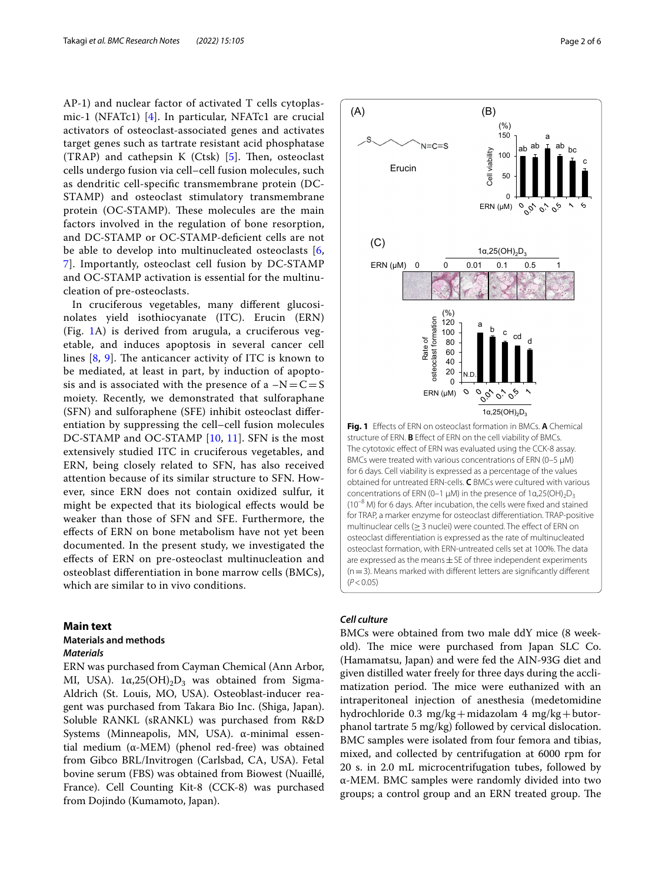AP-1) and nuclear factor of activated T cells cytoplasmic-1 (NFATc1) [[4\]](#page-5-3). In particular, NFATc1 are crucial activators of osteoclast-associated genes and activates target genes such as tartrate resistant acid phosphatase (TRAP) and cathepsin K (Ctsk)  $[5]$  $[5]$ . Then, osteoclast cells undergo fusion via cell–cell fusion molecules, such as dendritic cell-specifc transmembrane protein (DC-STAMP) and osteoclast stimulatory transmembrane protein (OC-STAMP). These molecules are the main factors involved in the regulation of bone resorption, and DC-STAMP or OC-STAMP-defcient cells are not be able to develop into multinucleated osteoclasts [\[6](#page-5-5), [7\]](#page-5-6). Importantly, osteoclast cell fusion by DC-STAMP and OC-STAMP activation is essential for the multinucleation of pre-osteoclasts.

In cruciferous vegetables, many diferent glucosinolates yield isothiocyanate (ITC). Erucin (ERN) (Fig. [1A](#page-1-0)) is derived from arugula, a cruciferous vegetable, and induces apoptosis in several cancer cell lines  $[8, 9]$  $[8, 9]$  $[8, 9]$  $[8, 9]$ . The anticancer activity of ITC is known to be mediated, at least in part, by induction of apoptosis and is associated with the presence of a  $-N=C=S$ moiety. Recently, we demonstrated that sulforaphane (SFN) and sulforaphene (SFE) inhibit osteoclast diferentiation by suppressing the cell–cell fusion molecules DC-STAMP and OC-STAMP [[10,](#page-5-9) [11](#page-5-10)]. SFN is the most extensively studied ITC in cruciferous vegetables, and ERN, being closely related to SFN, has also received attention because of its similar structure to SFN. However, since ERN does not contain oxidized sulfur, it might be expected that its biological efects would be weaker than those of SFN and SFE. Furthermore, the efects of ERN on bone metabolism have not yet been documented. In the present study, we investigated the efects of ERN on pre-osteoclast multinucleation and osteoblast diferentiation in bone marrow cells (BMCs), which are similar to in vivo conditions.

# **Main text**

# **Materials and methods**

# *Materials*

ERN was purchased from Cayman Chemical (Ann Arbor, MI, USA).  $1α,25(OH)<sub>2</sub>D<sub>3</sub>$  was obtained from Sigma-Aldrich (St. Louis, MO, USA). Osteoblast-inducer reagent was purchased from Takara Bio Inc. (Shiga, Japan). Soluble RANKL (sRANKL) was purchased from R&D Systems (Minneapolis, MN, USA). α-minimal essential medium (α-MEM) (phenol red-free) was obtained from Gibco BRL/Invitrogen (Carlsbad, CA, USA). Fetal bovine serum (FBS) was obtained from Biowest (Nuaillé, France). Cell Counting Kit-8 (CCK-8) was purchased from Dojindo (Kumamoto, Japan).



<span id="page-1-0"></span>**Fig. 1** Efects of ERN on osteoclast formation in BMCs. **A** Chemical structure of ERN. **B** Efect of ERN on the cell viability of BMCs. The cytotoxic effect of ERN was evaluated using the CCK-8 assay. BMCs were treated with various concentrations of ERN (0-5  $\mu$ M) for 6 days. Cell viability is expressed as a percentage of the values obtained for untreated ERN-cells. **C** BMCs were cultured with various concentrations of ERN (0–1 μM) in the presence of 1α,25(OH)<sub>2</sub>D<sub>3</sub> ( $10^{-8}$  M) for 6 days. After incubation, the cells were fixed and stained for TRAP, a marker enzyme for osteoclast diferentiation. TRAP-positive multinuclear cells ( $\geq$  3 nuclei) were counted. The effect of ERN on osteoclast diferentiation is expressed as the rate of multinucleated osteoclast formation, with ERN-untreated cells set at 100%. The data are expressed as the means  $\pm$  SE of three independent experiments  $(n=3)$ . Means marked with different letters are significantly different (*P*<0.05)

# *Cell culture*

BMCs were obtained from two male ddY mice (8 weekold). The mice were purchased from Japan SLC Co. (Hamamatsu, Japan) and were fed the AIN-93G diet and given distilled water freely for three days during the acclimatization period. The mice were euthanized with an intraperitoneal injection of anesthesia (medetomidine hydrochloride 0.3 mg/kg+midazolam 4 mg/kg+butorphanol tartrate 5 mg/kg) followed by cervical dislocation. BMC samples were isolated from four femora and tibias, mixed, and collected by centrifugation at 6000 rpm for 20 s. in 2.0 mL microcentrifugation tubes, followed by α-MEM. BMC samples were randomly divided into two groups; a control group and an ERN treated group. The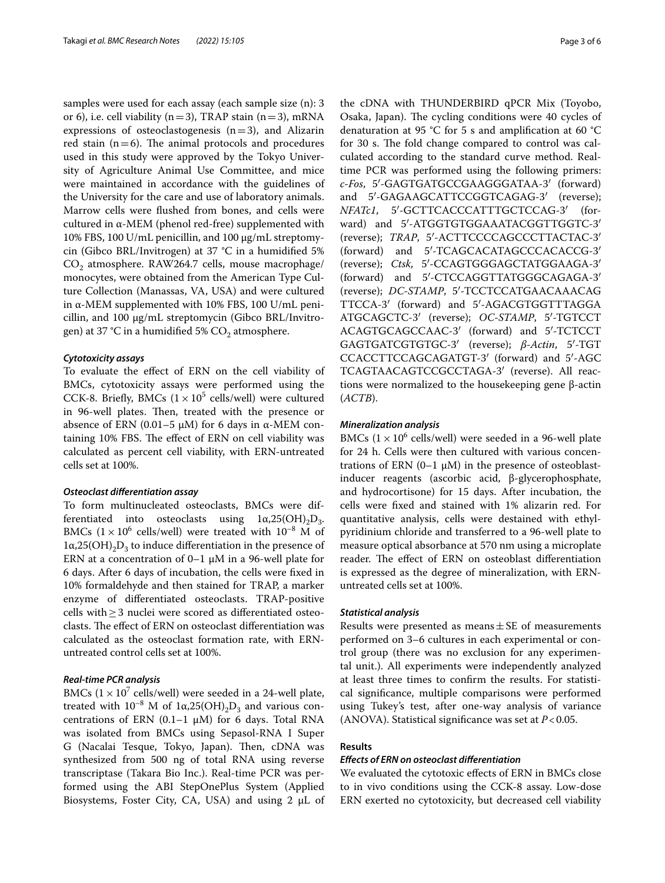samples were used for each assay (each sample size (n): 3 or 6), i.e. cell viability ( $n=3$ ), TRAP stain ( $n=3$ ), mRNA expressions of osteoclastogenesis  $(n=3)$ , and Alizarin red stain  $(n=6)$ . The animal protocols and procedures used in this study were approved by the Tokyo University of Agriculture Animal Use Committee, and mice were maintained in accordance with the guidelines of the University for the care and use of laboratory animals. Marrow cells were fushed from bones, and cells were cultured in α-MEM (phenol red-free) supplemented with 10% FBS, 100 U/mL penicillin, and 100 μg/mL streptomycin (Gibco BRL/Invitrogen) at 37 °C in a humidifed 5% CO<sub>2</sub> atmosphere. RAW264.7 cells, mouse macrophage/ monocytes, were obtained from the American Type Culture Collection (Manassas, VA, USA) and were cultured in α-MEM supplemented with 10% FBS, 100 U/mL penicillin, and 100 μg/mL streptomycin (Gibco BRL/Invitrogen) at 37 °C in a humidified 5%  $CO<sub>2</sub>$  atmosphere.

# *Cytotoxicity assays*

To evaluate the efect of ERN on the cell viability of BMCs, cytotoxicity assays were performed using the CCK-8. Briefly, BMCs  $(1 \times 10^5 \text{ cells/well})$  were cultured in 96-well plates. Then, treated with the presence or absence of ERN (0.01-5 μM) for 6 days in α-MEM containing 10% FBS. The effect of ERN on cell viability was calculated as percent cell viability, with ERN-untreated cells set at 100%.

# *Osteoclast diferentiation assay*

To form multinucleated osteoclasts, BMCs were differentiated into osteoclasts using  $1\alpha,25(OH),D_3$ . BMCs  $(1 \times 10^6 \text{ cells/well})$  were treated with  $10^{-8}$  M of  $1\alpha,25(OH),D_3$  to induce differentiation in the presence of ERN at a concentration of  $0-1 \mu M$  in a 96-well plate for 6 days. After 6 days of incubation, the cells were fxed in 10% formaldehyde and then stained for TRAP, a marker enzyme of diferentiated osteoclasts. TRAP-positive cells with≥3 nuclei were scored as diferentiated osteoclasts. The effect of ERN on osteoclast differentiation was calculated as the osteoclast formation rate, with ERNuntreated control cells set at 100%.

# *Real‑time PCR analysis*

BMCs  $(1 \times 10^7 \text{ cells/well})$  were seeded in a 24-well plate, treated with  $10^{-8}$  M of  $1α,25(OH)_{2}D_{3}$  and various concentrations of ERN  $(0.1-1 \mu M)$  for 6 days. Total RNA was isolated from BMCs using Sepasol-RNA I Super G (Nacalai Tesque, Tokyo, Japan). Then, cDNA was synthesized from 500 ng of total RNA using reverse transcriptase (Takara Bio Inc.). Real-time PCR was performed using the ABI StepOnePlus System (Applied Biosystems, Foster City, CA, USA) and using 2 μL of

the cDNA with THUNDERBIRD qPCR Mix (Toyobo, Osaka, Japan). The cycling conditions were 40 cycles of denaturation at 95 °C for 5 s and amplifcation at 60 °C for 30 s. The fold change compared to control was calculated according to the standard curve method. Realtime PCR was performed using the following primers: *c-Fos*, 5′-GAGTGATGCCGAAGGGATAA-3′ (forward) and 5′-GAGAAGCATTCCGGTCAGAG-3′ (reverse); *NFATc1*, 5′-GCTTCACCCATTTGCTCCAG-3′ (forward) and 5′-ATGGTGTGGAAATACGGTTGGTC-3′ (reverse); *TRAP*, 5′-ACTTCCCCAGCCCTTACTAC-3′ (forward) and 5′-TCAGCACATAGCCCACACCG-3′ (reverse); *Ctsk*, 5′-CCAGTGGGAGCTATGGAAGA-3′ (forward) and 5′-CTCCAGGTTATGGGCAGAGA-3′ (reverse); *DC-STAMP*, 5′-TCCTCCATGAACAAACAG TTCCA-3′ (forward) and 5′-AGACGTGGTTTAGGA ATGCAGCTC-3′ (reverse); *OC-STAMP*, 5′-TGTCCT ACAGTGCAGCCAAC-3′ (forward) and 5′-TCTCCT GAGTGATCGTGTGC-3′ (reverse); *β-Actin*, 5′-TGT CCACCTTCCAGCAGATGT-3′ (forward) and 5′-AGC TCAGTAACAGTCCGCCTAGA-3′ (reverse). All reactions were normalized to the housekeeping gene β-actin (*ACTB*).

# *Mineralization analysis*

BMCs  $(1 \times 10^6 \text{ cells/well})$  were seeded in a 96-well plate for 24 h. Cells were then cultured with various concentrations of ERN  $(0-1 \mu M)$  in the presence of osteoblastinducer reagents (ascorbic acid, β-glycerophosphate, and hydrocortisone) for 15 days. After incubation, the cells were fxed and stained with 1% alizarin red. For quantitative analysis, cells were destained with ethylpyridinium chloride and transferred to a 96-well plate to measure optical absorbance at 570 nm using a microplate reader. The effect of ERN on osteoblast differentiation is expressed as the degree of mineralization, with ERNuntreated cells set at 100%.

# *Statistical analysis*

Results were presented as means $\pm$  SE of measurements performed on 3–6 cultures in each experimental or control group (there was no exclusion for any experimental unit.). All experiments were independently analyzed at least three times to confrm the results. For statistical signifcance, multiple comparisons were performed using Tukey's test, after one-way analysis of variance (ANOVA). Statistical signifcance was set at *P*<0.05.

# **Results**

# *Efects of ERN on osteoclast diferentiation*

We evaluated the cytotoxic efects of ERN in BMCs close to in vivo conditions using the CCK-8 assay. Low-dose ERN exerted no cytotoxicity, but decreased cell viability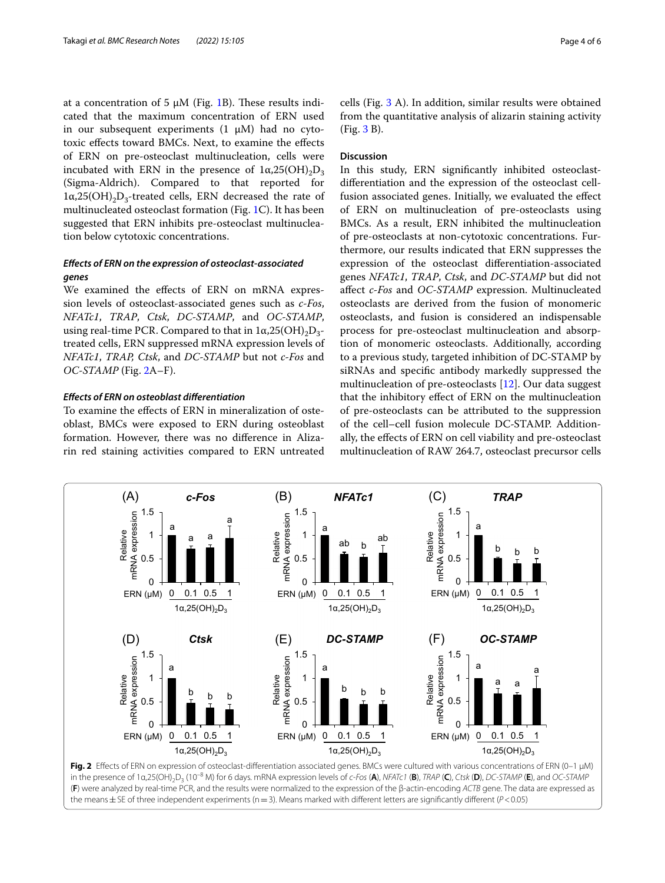at a concentration of 5  $\mu$ M (Fig. [1B](#page-1-0)). These results indicated that the maximum concentration of ERN used in our subsequent experiments  $(1 \mu M)$  had no cytotoxic efects toward BMCs. Next, to examine the efects of ERN on pre-osteoclast multinucleation, cells were incubated with ERN in the presence of  $1\alpha,25(OH)_{2}D_{3}$ (Sigma-Aldrich). Compared to that reported for  $1\alpha,25(OH),D_3$ -treated cells, ERN decreased the rate of multinucleated osteoclast formation (Fig. [1C](#page-1-0)). It has been suggested that ERN inhibits pre-osteoclast multinucleation below cytotoxic concentrations.

# *Efects of ERN on the expression of osteoclast‑associated genes*

We examined the effects of ERN on mRNA expression levels of osteoclast-associated genes such as *c-Fos*, *NFATc1*, *TRAP*, *Ctsk*, *DC-STAMP*, and *OC-STAMP*, using real-time PCR. Compared to that in  $1\alpha,25(OH),D_{3}$ treated cells, ERN suppressed mRNA expression levels of *NFATc1*, *TRAP, Ctsk*, and *DC-STAMP* but not *c-Fos* and *OC-STAMP* (Fig. [2A](#page-3-0)–F).

# *Efects of ERN on osteoblast diferentiation*

To examine the efects of ERN in mineralization of osteoblast, BMCs were exposed to ERN during osteoblast formation. However, there was no diference in Alizarin red staining activities compared to ERN untreated cells (Fig. [3](#page-4-0) A). In addition, similar results were obtained from the quantitative analysis of alizarin staining activity (Fig. [3](#page-4-0) B).

# **Discussion**

In this study, ERN signifcantly inhibited osteoclastdiferentiation and the expression of the osteoclast cellfusion associated genes. Initially, we evaluated the efect of ERN on multinucleation of pre-osteoclasts using BMCs. As a result, ERN inhibited the multinucleation of pre-osteoclasts at non-cytotoxic concentrations. Furthermore, our results indicated that ERN suppresses the expression of the osteoclast diferentiation-associated genes *NFATc1*, *TRAP*, *Ctsk*, and *DC-STAMP* but did not afect *c-Fos* and *OC-STAMP* expression. Multinucleated osteoclasts are derived from the fusion of monomeric osteoclasts, and fusion is considered an indispensable process for pre-osteoclast multinucleation and absorption of monomeric osteoclasts. Additionally, according to a previous study, targeted inhibition of DC-STAMP by siRNAs and specifc antibody markedly suppressed the multinucleation of pre-osteoclasts [[12\]](#page-5-11). Our data suggest that the inhibitory efect of ERN on the multinucleation of pre-osteoclasts can be attributed to the suppression of the cell–cell fusion molecule DC-STAMP. Additionally, the efects of ERN on cell viability and pre-osteoclast multinucleation of RAW 264.7, osteoclast precursor cells



<span id="page-3-0"></span>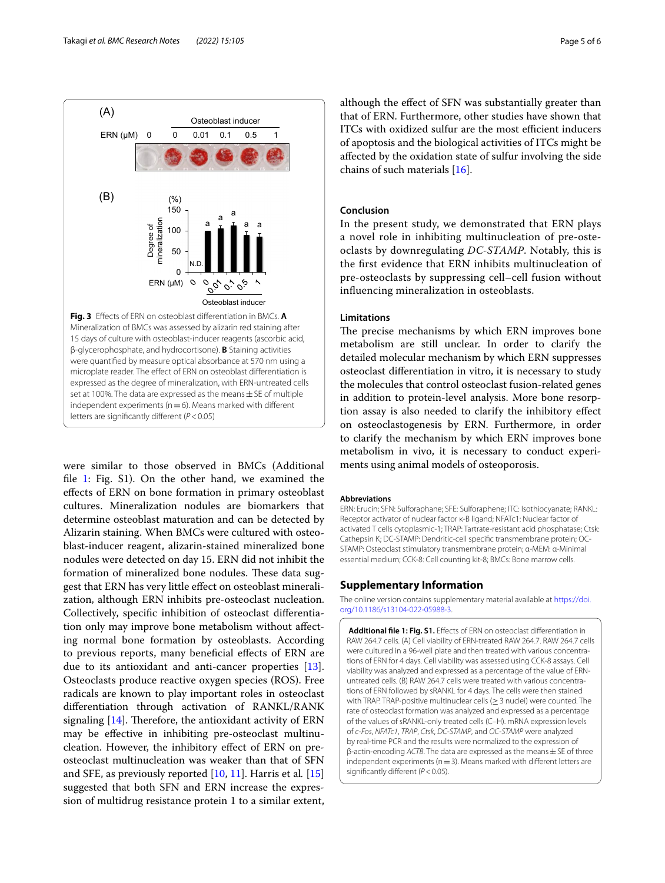

<span id="page-4-0"></span>independent experiments ( $n=6$ ). Means marked with different letters are signifcantly diferent (*P*<0.05)

were similar to those observed in BMCs (Additional fle [1:](#page-4-1) Fig. S1). On the other hand, we examined the efects of ERN on bone formation in primary osteoblast cultures. Mineralization nodules are biomarkers that determine osteoblast maturation and can be detected by Alizarin staining. When BMCs were cultured with osteoblast-inducer reagent, alizarin-stained mineralized bone nodules were detected on day 15. ERN did not inhibit the formation of mineralized bone nodules. These data suggest that ERN has very little efect on osteoblast mineralization, although ERN inhibits pre-osteoclast nucleation. Collectively, specifc inhibition of osteoclast diferentiation only may improve bone metabolism without afecting normal bone formation by osteoblasts. According to previous reports, many benefcial efects of ERN are due to its antioxidant and anti-cancer properties [\[13](#page-5-12)]. Osteoclasts produce reactive oxygen species (ROS). Free radicals are known to play important roles in osteoclast diferentiation through activation of RANKL/RANK signaling  $[14]$  $[14]$ . Therefore, the antioxidant activity of ERN may be efective in inhibiting pre-osteoclast multinucleation. However, the inhibitory efect of ERN on preosteoclast multinucleation was weaker than that of SFN and SFE, as previously reported [[10,](#page-5-9) [11](#page-5-10)]. Harris et al*.* [[15](#page-5-14)] suggested that both SFN and ERN increase the expression of multidrug resistance protein 1 to a similar extent,

although the efect of SFN was substantially greater than that of ERN. Furthermore, other studies have shown that ITCs with oxidized sulfur are the most efficient inducers of apoptosis and the biological activities of ITCs might be afected by the oxidation state of sulfur involving the side chains of such materials [[16\]](#page-5-15).

# **Conclusion**

In the present study, we demonstrated that ERN plays a novel role in inhibiting multinucleation of pre-osteoclasts by downregulating *DC-STAMP*. Notably, this is the frst evidence that ERN inhibits multinucleation of pre-osteoclasts by suppressing cell–cell fusion without infuencing mineralization in osteoblasts.

# **Limitations**

The precise mechanisms by which ERN improves bone metabolism are still unclear. In order to clarify the detailed molecular mechanism by which ERN suppresses osteoclast diferentiation in vitro, it is necessary to study the molecules that control osteoclast fusion-related genes in addition to protein-level analysis. More bone resorption assay is also needed to clarify the inhibitory efect on osteoclastogenesis by ERN. Furthermore, in order to clarify the mechanism by which ERN improves bone metabolism in vivo, it is necessary to conduct experiments using animal models of osteoporosis.

#### **Abbreviations**

ERN: Erucin; SFN: Sulforaphane; SFE: Sulforaphene; ITC: Isothiocyanate; RANKL: Receptor activator of nuclear factor κ-B ligand; NFATc1: Nuclear factor of activated T cells cytoplasmic-1; TRAP: Tartrate-resistant acid phosphatase; Ctsk: Cathepsin K; DC-STAMP: Dendritic-cell specifc transmembrane protein; OC-STAMP: Osteoclast stimulatory transmembrane protein; α-MEM: α-Minimal essential medium; CCK-8: Cell counting kit-8; BMCs: Bone marrow cells.

# **Supplementary Information**

The online version contains supplementary material available at [https://doi.](https://doi.org/10.1186/s13104-022-05988-3) [org/10.1186/s13104-022-05988-3](https://doi.org/10.1186/s13104-022-05988-3).

<span id="page-4-1"></span>Additional file 1: Fig. S1. Effects of ERN on osteoclast differentiation in RAW 264.7 cells. (A) Cell viability of ERN-treated RAW 264.7. RAW 264.7 cells were cultured in a 96-well plate and then treated with various concentrations of ERN for 4 days. Cell viability was assessed using CCK-8 assays. Cell viability was analyzed and expressed as a percentage of the value of ERNuntreated cells. (B) RAW 264.7 cells were treated with various concentrations of ERN followed by sRANKL for 4 days. The cells were then stained with TRAP. TRAP-positive multinuclear cells (≥3 nuclei) were counted. The rate of osteoclast formation was analyzed and expressed as a percentage of the values of sRANKL-only treated cells (C–H). mRNA expression levels of *c-Fos*, *NFATc1*, *TRAP*, *Ctsk*, *DC-STAMP*, and *OC-STAMP* were analyzed by real-time PCR and the results were normalized to the expression of β-actin-encoding *ACTB*. The data are expressed as the means  $\pm$  SE of three independent experiments ( $n=3$ ). Means marked with different letters are significantly different ( $P$ <0.05).